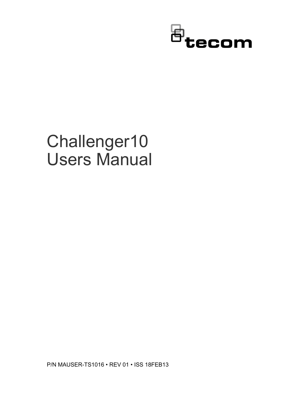

# Challenger10 Users Manual

P/N MAUSER-TS1016 • REV 01 • ISS 18FEB13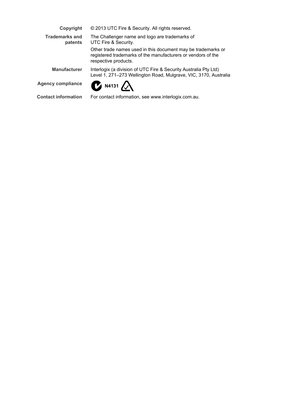| Copyright                        | © 2013 UTC Fire & Security. All rights reserved.                                                                                                     |
|----------------------------------|------------------------------------------------------------------------------------------------------------------------------------------------------|
| <b>Trademarks and</b><br>patents | The Challenger name and logo are trademarks of<br>UTC Fire & Security.                                                                               |
|                                  | Other trade names used in this document may be trademarks or<br>registered trademarks of the manufacturers or vendors of the<br>respective products. |
| <b>Manufacturer</b>              | Interlogix (a division of UTC Fire & Security Australia Pty Ltd)<br>Level 1, 271–273 Wellington Road, Mulgrave, VIC, 3170, Australia                 |
| <b>Agency compliance</b>         | $\alpha$ N4131 $\alpha$                                                                                                                              |
| <b>Contact information</b>       | For contact information, see www.interlogix.com.au.                                                                                                  |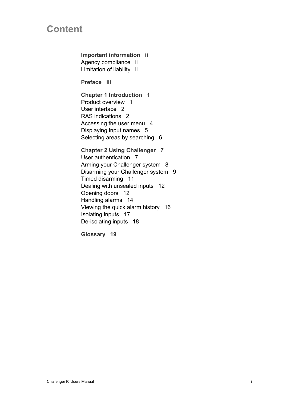# **Content**

**Important information ii** Agency compliance ii Limitation of liability ii

**Preface iii**

**Chapter 1 Introduction 1** Product overview 1 User interface 2 RAS indications 2 Accessing the user menu 4 Displaying input names 5 Selecting areas by searching 6

**Chapter 2 Using Challenger 7** User authentication 7 Arming your Challenger system 8 Disarming your Challenger system 9 Timed disarming 11 Dealing with unsealed inputs 12 Opening doors 12 Handling alarms 14 Viewing the quick alarm history 16 Isolating inputs 17 De-isolating inputs 18

**Glossary 19**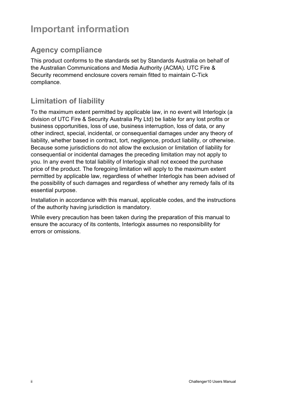# **Important information**

# **Agency compliance**

This product conforms to the standards set by Standards Australia on behalf of the Australian Communications and Media Authority (ACMA). UTC Fire & Security recommend enclosure covers remain fitted to maintain C-Tick compliance.

# **Limitation of liability**

To the maximum extent permitted by applicable law, in no event will Interlogix (a division of UTC Fire & Security Australia Pty Ltd) be liable for any lost profits or business opportunities, loss of use, business interruption, loss of data, or any other indirect, special, incidental, or consequential damages under any theory of liability, whether based in contract, tort, negligence, product liability, or otherwise. Because some jurisdictions do not allow the exclusion or limitation of liability for consequential or incidental damages the preceding limitation may not apply to you. In any event the total liability of Interlogix shall not exceed the purchase price of the product. The foregoing limitation will apply to the maximum extent permitted by applicable law, regardless of whether Interlogix has been advised of the possibility of such damages and regardless of whether any remedy fails of its essential purpose.

Installation in accordance with this manual, applicable codes, and the instructions of the authority having jurisdiction is mandatory.

While every precaution has been taken during the preparation of this manual to ensure the accuracy of its contents, Interlogix assumes no responsibility for errors or omissions.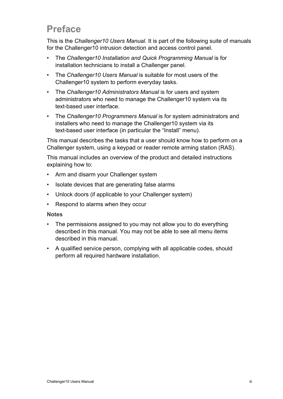# **Preface**

This is the *Challenger10 Users Manual*. It is part of the following suite of manuals for the Challenger10 intrusion detection and access control panel.

- The *Challenger10 Installation and Quick Programming Manual* is for installation technicians to install a Challenger panel.
- The *Challenger10 Users Manual* is suitable for most users of the Challenger10 system to perform everyday tasks.
- The *Challenger10 Administrators Manual* is for users and system administrators who need to manage the Challenger10 system via its text-based user interface.
- The *Challenger10 Programmers Manual* is for system administrators and installers who need to manage the Challenger10 system via its text-based user interface (in particular the "Install" menu).

This manual describes the tasks that a user should know how to perform on a Challenger system, using a keypad or reader remote arming station (RAS).

This manual includes an overview of the product and detailed instructions explaining how to:

- Arm and disarm your Challenger system
- Isolate devices that are generating false alarms
- Unlock doors (if applicable to your Challenger system)
- Respond to alarms when they occur

#### **Notes**

- The permissions assigned to you may not allow you to do everything described in this manual. You may not be able to see all menu items described in this manual.
- A qualified service person, complying with all applicable codes, should perform all required hardware installation.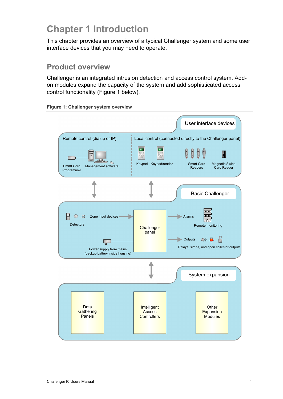# **Chapter 1 Introduction**

This chapter provides an overview of a typical Challenger system and some user interface devices that you may need to operate.

#### **Product overview**

Challenger is an integrated intrusion detection and access control system. Addon modules expand the capacity of the system and add sophisticated access control functionality (Figure 1 below).



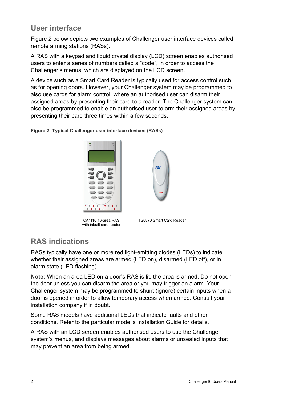# **User interface**

Figure 2 below depicts two examples of Challenger user interface devices called remote arming stations (RASs).

A RAS with a keypad and liquid crystal display (LCD) screen enables authorised users to enter a series of numbers called a "code", in order to access the Challenger's menus, which are displayed on the LCD screen.

A device such as a Smart Card Reader is typically used for access control such as for opening doors. However, your Challenger system may be programmed to also use cards for alarm control, where an authorised user can disarm their assigned areas by presenting their card to a reader. The Challenger system can also be programmed to enable an authorised user to arm their assigned areas by presenting their card three times within a few seconds.

**Figure 2: Typical Challenger user interface devices (RASs)**



CA1116 16-area RAS with inbuilt card reader



TS0870 Smart Card Reader

# **RAS indications**

RASs typically have one or more red light-emitting diodes (LEDs) to indicate whether their assigned areas are armed (LED on), disarmed (LED off), or in alarm state (LED flashing).

**Note:** When an area LED on a door's RAS is lit, the area is armed. Do not open the door unless you can disarm the area or you may trigger an alarm. Your Challenger system may be programmed to shunt (ignore) certain inputs when a door is opened in order to allow temporary access when armed. Consult your installation company if in doubt.

Some RAS models have additional LEDs that indicate faults and other conditions. Refer to the particular model's Installation Guide for details.

A RAS with an LCD screen enables authorised users to use the Challenger system's menus, and displays messages about alarms or unsealed inputs that may prevent an area from being armed.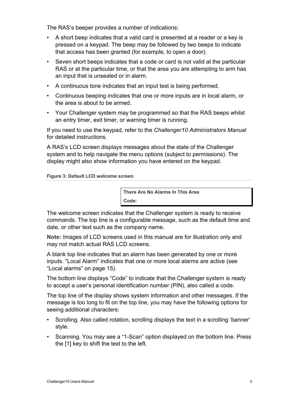The RAS's beeper provides a number of indications:

- A short beep indicates that a valid card is presented at a reader or a key is pressed on a keypad. The beep may be followed by two beeps to indicate that access has been granted (for example, to open a door).
- Seven short beeps indicates that a code or card is not valid at the particular RAS or at the particular time, or that the area you are attempting to arm has an input that is unsealed or in alarm.
- A continuous tone indicates that an input test is being performed.
- Continuous beeping indicates that one or more inputs are in local alarm, or the area is about to be armed.
- Your Challenger system may be programmed so that the RAS beeps whilst an entry timer, exit timer, or warning timer is running.

If you need to use the keypad, refer to the *Challenger10 Administrators Manual*  for detailed instructions.

A RAS's LCD screen displays messages about the state of the Challenger system and to help navigate the menu options (subject to permissions). The display might also show information you have entered on the keypad.

**Figure 3: Default LCD welcome screen**

**There Are No Alarms In This Area Code:**

The welcome screen indicates that the Challenger system is ready to receive commands. The top line is a configurable message, such as the default time and date, or other text such as the company name.

**Note:** Images of LCD screens used in this manual are for illustration only and may not match actual RAS LCD screens.

A blank top line indicates that an alarm has been generated by one or more inputs. "Local Alarm" indicates that one or more local alarms are active (see "Local alarms" on page 15).

The bottom line displays "Code" to indicate that the Challenger system is ready to accept a user's personal identification number (PIN), also called a code.

The top line of the display shows system information and other messages. If the message is too long to fit on the top line, you may have the following options for seeing additional characters:

- Scrolling. Also called rotation, scrolling displays the text in a scrolling 'banner' style.
- Scanning. You may see a "1-Scan" option displayed on the bottom line. Press the [1] key to shift the text to the left.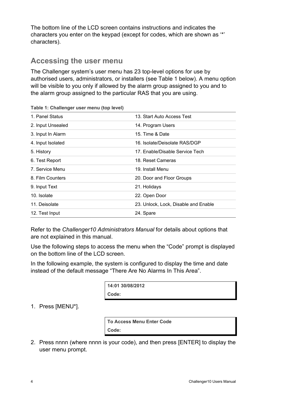The bottom line of the LCD screen contains instructions and indicates the characters you enter on the keypad (except for codes, which are shown as '\*' characters).

## **Accessing the user menu**

The Challenger system's user menu has 23 top-level options for use by authorised users, administrators, or installers (see Table 1 below). A menu option will be visible to you only if allowed by the alarm group assigned to you and to the alarm group assigned to the particular RAS that you are using.

| 1. Panel Status   | 13. Start Auto Access Test           |
|-------------------|--------------------------------------|
| 2. Input Unsealed | 14. Program Users                    |
| 3. Input In Alarm | 15. Time & Date                      |
| 4. Input Isolated | 16. Isolate/Deisolate RAS/DGP        |
| 5. History        | 17. Enable/Disable Service Tech      |
| 6. Test Report    | 18. Reset Cameras                    |
| 7. Service Menu   | 19. Install Menu                     |
| 8. Film Counters  | 20. Door and Floor Groups            |
| 9. Input Text     | 21. Holidays                         |
| 10. Isolate       | 22. Open Door                        |
| 11. Deisolate     | 23. Unlock, Lock, Disable and Enable |
| 12. Test Input    | 24. Spare                            |

**Table 1: Challenger user menu (top level)**

Refer to the *Challenger10 Administrators Manual* for details about options that are not explained in this manual.

Use the following steps to access the menu when the "Code" prompt is displayed on the bottom line of the LCD screen.

In the following example, the system is configured to display the time and date instead of the default message "There Are No Alarms In This Area".

> **14:01 30/08/2012 Code:**

#### 1. Press [MENU\*].

**To Access Menu Enter Code Code:**

2. Press nnnn (where nnnn is your code), and then press [ENTER] to display the user menu prompt.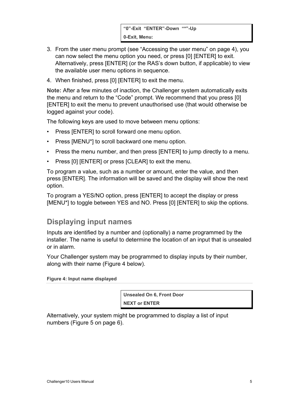- 3. From the user menu prompt (see "Accessing the user menu" on page 4), you can now select the menu option you need, or press [0] [ENTER] to exit. Alternatively, press [ENTER] (or the RAS's down button, if applicable) to view the available user menu options in sequence.
- 4. When finished, press [0] [ENTER] to exit the menu.

**Note:** After a few minutes of inaction, the Challenger system automatically exits the menu and return to the "Code" prompt. We recommend that you press [0] [ENTER] to exit the menu to prevent unauthorised use (that would otherwise be logged against your code).

The following keys are used to move between menu options:

- Press [ENTER] to scroll forward one menu option.
- Press [MENU\*] to scroll backward one menu option.
- Press the menu number, and then press [ENTER] to jump directly to a menu.
- Press [0] [ENTER] or press [CLEAR] to exit the menu.

To program a value, such as a number or amount, enter the value, and then press [ENTER]. The information will be saved and the display will show the next option.

To program a YES/NO option, press [ENTER] to accept the display or press [MENU\*] to toggle between YES and NO. Press [0] [ENTER] to skip the options.

# **Displaying input names**

Inputs are identified by a number and (optionally) a name programmed by the installer. The name is useful to determine the location of an input that is unsealed or in alarm.

Your Challenger system may be programmed to display inputs by their number, along with their name (Figure 4 below).

**Figure 4: Input name displayed**

**Unsealed On 6, Front Door NEXT or ENTER**

Alternatively, your system might be programmed to display a list of input numbers (Figure 5 on page 6).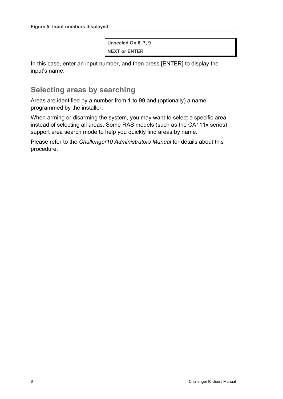**Unsealed On 6, 7, 9 NEXT or ENTER**

In this case, enter an input number, and then press [ENTER] to display the input's name.

## **Selecting areas by searching**

Areas are identified by a number from 1 to 99 and (optionally) a name programmed by the installer.

When arming or disarming the system, you may want to select a specific area instead of selecting all areas. Some RAS models (such as the CA111x series) support area search mode to help you quickly find areas by name.

Please refer to the *Challenger10 Administrators Manual* for details about this procedure.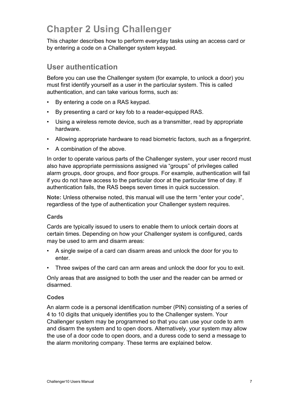# **Chapter 2 Using Challenger**

This chapter describes how to perform everyday tasks using an access card or by entering a code on a Challenger system keypad.

## **User authentication**

Before you can use the Challenger system (for example, to unlock a door) you must first identify yourself as a user in the particular system. This is called authentication, and can take various forms, such as:

- By entering a code on a RAS keypad.
- By presenting a card or key fob to a reader-equipped RAS.
- Using a wireless remote device, such as a transmitter, read by appropriate hardware.
- Allowing appropriate hardware to read biometric factors, such as a fingerprint.
- A combination of the above.

In order to operate various parts of the Challenger system, your user record must also have appropriate permissions assigned via "groups" of privileges called alarm groups, door groups, and floor groups. For example, authentication will fail if you do not have access to the particular door at the particular time of day. If authentication fails, the RAS beeps seven times in quick succession.

**Note:** Unless otherwise noted, this manual will use the term "enter your code", regardless of the type of authentication your Challenger system requires.

#### **Cards**

Cards are typically issued to users to enable them to unlock certain doors at certain times. Depending on how your Challenger system is configured, cards may be used to arm and disarm areas:

- A single swipe of a card can disarm areas and unlock the door for you to enter.
- Three swipes of the card can arm areas and unlock the door for you to exit.

Only areas that are assigned to both the user and the reader can be armed or disarmed.

#### **Codes**

An alarm code is a personal identification number (PIN) consisting of a series of 4 to 10 digits that uniquely identifies you to the Challenger system. Your Challenger system may be programmed so that you can use your code to arm and disarm the system and to open doors. Alternatively, your system may allow the use of a door code to open doors, and a duress code to send a message to the alarm monitoring company. These terms are explained below.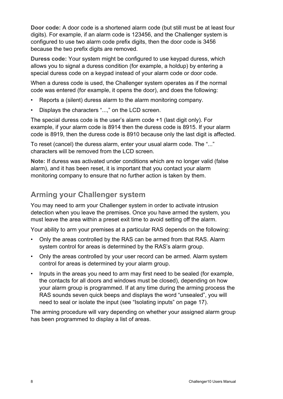**Door code:** A door code is a shortened alarm code (but still must be at least four digits). For example, if an alarm code is 123456, and the Challenger system is configured to use two alarm code prefix digits, then the door code is 3456 because the two prefix digits are removed.

**Duress code:** Your system might be configured to use keypad duress, which allows you to signal a duress condition (for example, a holdup) by entering a special duress code on a keypad instead of your alarm code or door code.

When a duress code is used, the Challenger system operates as if the normal code was entered (for example, it opens the door), and does the following:

- Reports a (silent) duress alarm to the alarm monitoring company.
- Displays the characters "...," on the LCD screen.

The special duress code is the user's alarm code +1 (last digit only). For example, if your alarm code is 8914 then the duress code is 8915. If your alarm code is 8919, then the duress code is 8910 because only the last digit is affected.

To reset (cancel) the duress alarm, enter your usual alarm code. The "..." characters will be removed from the LCD screen.

**Note:** If duress was activated under conditions which are no longer valid (false alarm), and it has been reset, it is important that you contact your alarm monitoring company to ensure that no further action is taken by them.

# **Arming your Challenger system**

You may need to arm your Challenger system in order to activate intrusion detection when you leave the premises. Once you have armed the system, you must leave the area within a preset exit time to avoid setting off the alarm.

Your ability to arm your premises at a particular RAS depends on the following:

- Only the areas controlled by the RAS can be armed from that RAS. Alarm system control for areas is determined by the RAS's alarm group.
- Only the areas controlled by your user record can be armed. Alarm system control for areas is determined by your alarm group.
- Inputs in the areas you need to arm may first need to be sealed (for example, the contacts for all doors and windows must be closed), depending on how your alarm group is programmed. If at any time during the arming process the RAS sounds seven quick beeps and displays the word "unsealed", you will need to seal or isolate the input (see "Isolating inputs" on page 17).

The arming procedure will vary depending on whether your assigned alarm group has been programmed to display a list of areas.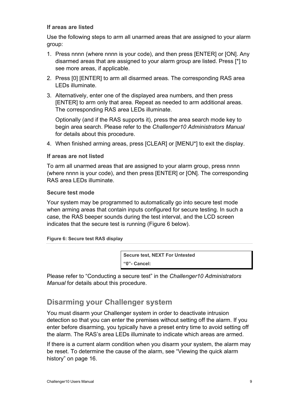#### **If areas are listed**

Use the following steps to arm all unarmed areas that are assigned to your alarm group:

- 1. Press nnnn (where nnnn is your code), and then press [ENTER] or [ON]. Any disarmed areas that are assigned to your alarm group are listed. Press [\*] to see more areas, if applicable.
- 2. Press [0] [ENTER] to arm all disarmed areas. The corresponding RAS area LEDs illuminate.
- 3. Alternatively, enter one of the displayed area numbers, and then press [ENTER] to arm only that area. Repeat as needed to arm additional areas. The corresponding RAS area LEDs illuminate.

Optionally (and if the RAS supports it), press the area search mode key to begin area search. Please refer to the *Challenger10 Administrators Manual* for details about this procedure.

4. When finished arming areas, press [CLEAR] or [MENU\*] to exit the display.

#### **If areas are not listed**

To arm all unarmed areas that are assigned to your alarm group, press nnnn (where nnnn is your code), and then press [ENTER] or [ON]. The corresponding RAS area LEDs illuminate.

#### **Secure test mode**

Your system may be programmed to automatically go into secure test mode when arming areas that contain inputs configured for secure testing. In such a case, the RAS beeper sounds during the test interval, and the LCD screen indicates that the secure test is running (Figure 6 below).

#### **Figure 6: Secure test RAS display**

**Secure test, NEXT For Untested "0"- Cancel:**

Please refer to "Conducting a secure test" in the *Challenger10 Administrators Manual* for details about this procedure.

## **Disarming your Challenger system**

You must disarm your Challenger system in order to deactivate intrusion detection so that you can enter the premises without setting off the alarm. If you enter before disarming, you typically have a preset entry time to avoid setting off the alarm. The RAS's area LEDs illuminate to indicate which areas are armed.

If there is a current alarm condition when you disarm your system, the alarm may be reset. To determine the cause of the alarm, see "Viewing the quick alarm history" on page 16.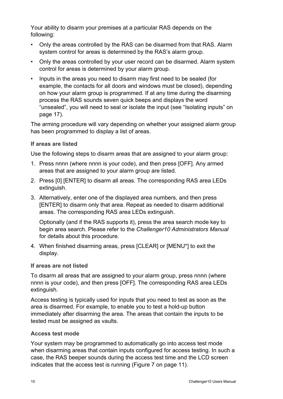Your ability to disarm your premises at a particular RAS depends on the following:

- Only the areas controlled by the RAS can be disarmed from that RAS. Alarm system control for areas is determined by the RAS's alarm group.
- Only the areas controlled by your user record can be disarmed. Alarm system control for areas is determined by your alarm group.
- Inputs in the areas you need to disarm may first need to be sealed (for example, the contacts for all doors and windows must be closed), depending on how your alarm group is programmed. If at any time during the disarming process the RAS sounds seven quick beeps and displays the word "unsealed", you will need to seal or isolate the input (see "Isolating inputs" on page 17).

The arming procedure will vary depending on whether your assigned alarm group has been programmed to display a list of areas.

#### **If areas are listed**

Use the following steps to disarm areas that are assigned to your alarm group:

- 1. Press nnnn (where nnnn is your code), and then press [OFF]. Any armed areas that are assigned to your alarm group are listed.
- 2. Press [0] [ENTER] to disarm all areas. The corresponding RAS area LEDs extinguish.
- 3. Alternatively, enter one of the displayed area numbers, and then press [ENTER] to disarm only that area. Repeat as needed to disarm additional areas. The corresponding RAS area LEDs extinguish.

Optionally (and if the RAS supports it), press the area search mode key to begin area search. Please refer to the *Challenger10 Administrators Manual* for details about this procedure.

4. When finished disarming areas, press [CLEAR] or [MENU\*] to exit the display.

#### **If areas are not listed**

To disarm all areas that are assigned to your alarm group, press nnnn (where nnnn is your code), and then press [OFF]. The corresponding RAS area LEDs extinguish.

Access testing is typically used for inputs that you need to test as soon as the area is disarmed. For example, to enable you to test a hold-up button immediately after disarming the area. The areas that contain the inputs to be tested must be assigned as vaults.

#### **Access test mode**

Your system may be programmed to automatically go into access test mode when disarming areas that contain inputs configured for access testing. In such a case, the RAS beeper sounds during the access test time and the LCD screen indicates that the access test is running (Figure 7 on page 11).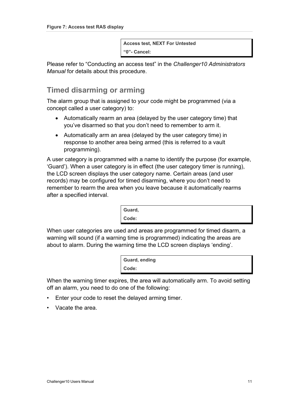**Access test, NEXT For Untested "0"- Cancel:**

Please refer to "Conducting an access test" in the *Challenger10 Administrators Manual* for details about this procedure.

### **Timed disarming or arming**

The alarm group that is assigned to your code might be programmed (via a concept called a user category) to:

- Automatically rearm an area (delayed by the user category time) that you've disarmed so that you don't need to remember to arm it.
- Automatically arm an area (delayed by the user category time) in response to another area being armed (this is referred to a vault programming).

A user category is programmed with a name to identify the purpose (for example, 'Guard'). When a user category is in effect (the user category timer is running), the LCD screen displays the user category name. Certain areas (and user records) may be configured for timed disarming, where you don't need to remember to rearm the area when you leave because it automatically rearms after a specified interval.

| Guard, |  |  |
|--------|--|--|
| Code:  |  |  |

When user categories are used and areas are programmed for timed disarm, a warning will sound (if a warning time is programmed) indicating the areas are about to alarm. During the warning time the LCD screen displays 'ending'.

| Guard, ending |  |
|---------------|--|
| Code:         |  |

When the warning timer expires, the area will automatically arm. To avoid setting off an alarm, you need to do one of the following:

- Enter your code to reset the delayed arming timer.
- Vacate the area.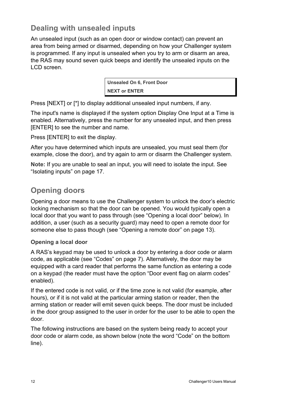# **Dealing with unsealed inputs**

An unsealed input (such as an open door or window contact) can prevent an area from being armed or disarmed, depending on how your Challenger system is programmed. If any input is unsealed when you try to arm or disarm an area, the RAS may sound seven quick beeps and identify the unsealed inputs on the LCD screen.

> **Unsealed On 6, Front Door NEXT or ENTER**

Press [NEXT] or [\*] to display additional unsealed input numbers, if any.

The input's name is displayed if the system option Display One Input at a Time is enabled. Alternatively, press the number for any unsealed input, and then press [ENTER] to see the number and name.

Press [ENTER] to exit the display.

After you have determined which inputs are unsealed, you must seal them (for example, close the door), and try again to arm or disarm the Challenger system.

**Note:** If you are unable to seal an input, you will need to isolate the input. See "Isolating inputs" on page 17.

# **Opening doors**

Opening a door means to use the Challenger system to unlock the door's electric locking mechanism so that the door can be opened. You would typically open a local door that you want to pass through (see "Opening a local door" below). In addition, a user (such as a security guard) may need to open a remote door for someone else to pass though (see "Opening a remote door" on page 13).

#### **Opening a local door**

A RAS's keypad may be used to unlock a door by entering a door code or alarm code, as applicable (see "Codes" on page 7). Alternatively, the door may be equipped with a card reader that performs the same function as entering a code on a keypad (the reader must have the option "Door event flag on alarm codes" enabled).

If the entered code is not valid, or if the time zone is not valid (for example, after hours), or if it is not valid at the particular arming station or reader, then the arming station or reader will emit seven quick beeps. The door must be included in the door group assigned to the user in order for the user to be able to open the door.

The following instructions are based on the system being ready to accept your door code or alarm code, as shown below (note the word "Code" on the bottom line).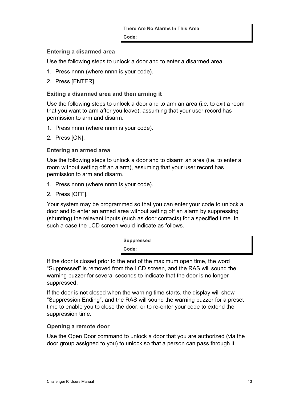#### **Entering a disarmed area**

Use the following steps to unlock a door and to enter a disarmed area.

- 1. Press nnnn (where nnnn is your code).
- 2. Press [ENTER].

#### **Exiting a disarmed area and then arming it**

Use the following steps to unlock a door and to arm an area (i.e. to exit a room that you want to arm after you leave), assuming that your user record has permission to arm and disarm.

- 1. Press nnnn (where nnnn is your code).
- 2. Press [ON].

#### **Entering an armed area**

Use the following steps to unlock a door and to disarm an area (i.e. to enter a room without setting off an alarm), assuming that your user record has permission to arm and disarm.

- 1. Press nnnn (where nnnn is your code).
- 2. Press [OFF].

Your system may be programmed so that you can enter your code to unlock a door and to enter an armed area without setting off an alarm by suppressing (shunting) the relevant inputs (such as door contacts) for a specified time. In such a case the LCD screen would indicate as follows.

| <b>Suppressed</b> |  |  |
|-------------------|--|--|
| Code:             |  |  |

If the door is closed prior to the end of the maximum open time, the word "Suppressed" is removed from the LCD screen, and the RAS will sound the warning buzzer for several seconds to indicate that the door is no longer suppressed.

If the door is not closed when the warning time starts, the display will show "Suppression Ending", and the RAS will sound the warning buzzer for a preset time to enable you to close the door, or to re-enter your code to extend the suppression time.

#### **Opening a remote door**

Use the Open Door command to unlock a door that you are authorized (via the door group assigned to you) to unlock so that a person can pass through it.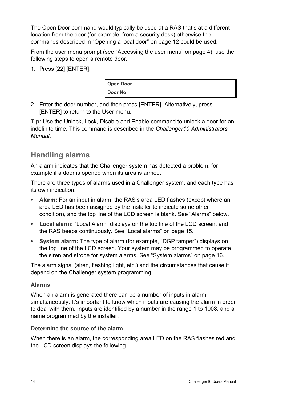The Open Door command would typically be used at a RAS that's at a different location from the door (for example, from a security desk) otherwise the commands described in "Opening a local door" on page 12 could be used.

From the user menu prompt (see "Accessing the user menu" on page 4), use the following steps to open a remote door.

1. Press [22] [ENTER].

**Open Door Door No:**

2. Enter the door number, and then press [ENTER]. Alternatively, press [ENTER] to return to the User menu.

**Tip:** Use the Unlock, Lock, Disable and Enable command to unlock a door for an indefinite time. This command is described in the *Challenger10 Administrators Manual*.

# **Handling alarms**

An alarm indicates that the Challenger system has detected a problem, for example if a door is opened when its area is armed.

There are three types of alarms used in a Challenger system, and each type has its own indication:

- **• Alarm:** For an input in alarm, the RAS's area LED flashes (except where an area LED has been assigned by the installer to indicate some other condition), and the top line of the LCD screen is blank. See "Alarms" below.
- **• Local alarm:** "Local Alarm" displays on the top line of the LCD screen, and the RAS beeps continuously. See "Local alarms" on page 15.
- **• System alarm:** The type of alarm (for example, "DGP tamper") displays on the top line of the LCD screen. Your system may be programmed to operate the siren and strobe for system alarms. See "System alarms" on page 16.

The alarm signal (siren, flashing light, etc.) and the circumstances that cause it depend on the Challenger system programming.

#### **Alarms**

When an alarm is generated there can be a number of inputs in alarm simultaneously. It's important to know which inputs are causing the alarm in order to deal with them. Inputs are identified by a number in the range 1 to 1008, and a name programmed by the installer.

#### **Determine the source of the alarm**

When there is an alarm, the corresponding area LED on the RAS flashes red and the LCD screen displays the following.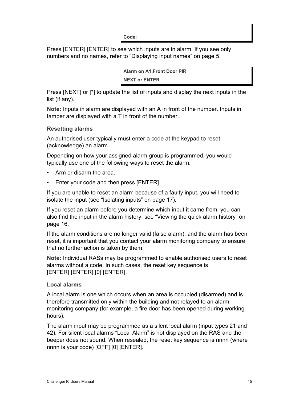**Code:**

Press [ENTER] [ENTER] to see which inputs are in alarm. If you see only numbers and no names, refer to "Displaying input names" on page 5.

> **Alarm on A1,Front Door PIR NEXT or ENTER**

Press [NEXT] or [\*] to update the list of inputs and display the next inputs in the list (if any).

**Note:** Inputs in alarm are displayed with an A in front of the number. Inputs in tamper are displayed with a T in front of the number.

#### **Resetting alarms**

An authorised user typically must enter a code at the keypad to reset (acknowledge) an alarm.

Depending on how your assigned alarm group is programmed, you would typically use one of the following ways to reset the alarm:

- Arm or disarm the area.
- Enter your code and then press [ENTER].

If you are unable to reset an alarm because of a faulty input, you will need to isolate the input (see "Isolating inputs" on page 17).

If you reset an alarm before you determine which input it came from, you can also find the input in the alarm history, see "Viewing the quick alarm history" on page 16.

If the alarm conditions are no longer valid (false alarm), and the alarm has been reset, it is important that you contact your alarm monitoring company to ensure that no further action is taken by them.

**Note:** Individual RASs may be programmed to enable authorised users to reset alarms without a code. In such cases, the reset key sequence is [ENTER] [ENTER] [0] [ENTER].

#### **Local alarms**

A local alarm is one which occurs when an area is occupied (disarmed) and is therefore transmitted only within the building and not relayed to an alarm monitoring company (for example, a fire door has been opened during working hours).

The alarm input may be programmed as a silent local alarm (input types 21 and 42). For silent local alarms "Local Alarm" is not displayed on the RAS and the beeper does not sound. When resealed, the reset key sequence is nnnn (where nnnn is your code) [OFF] [0] [ENTER].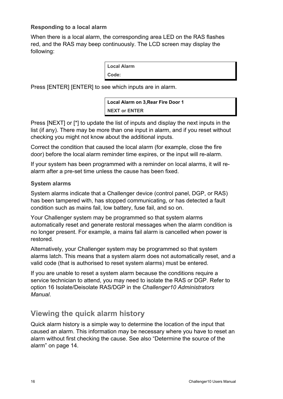#### **Responding to a local alarm**

When there is a local alarm, the corresponding area LED on the RAS flashes red, and the RAS may beep continuously. The LCD screen may display the following:

**Local Alarm**

**Code:**

Press [ENTER] [ENTER] to see which inputs are in alarm.

**Local Alarm on 3,Rear Fire Door 1 NEXT or ENTER**

Press [NEXT] or [\*] to update the list of inputs and display the next inputs in the list (if any). There may be more than one input in alarm, and if you reset without checking you might not know about the additional inputs.

Correct the condition that caused the local alarm (for example, close the fire door) before the local alarm reminder time expires, or the input will re-alarm.

If your system has been programmed with a reminder on local alarms, it will realarm after a pre-set time unless the cause has been fixed.

#### **System alarms**

System alarms indicate that a Challenger device (control panel, DGP, or RAS) has been tampered with, has stopped communicating, or has detected a fault condition such as mains fail, low battery, fuse fail, and so on.

Your Challenger system may be programmed so that system alarms automatically reset and generate restoral messages when the alarm condition is no longer present. For example, a mains fail alarm is cancelled when power is restored.

Alternatively, your Challenger system may be programmed so that system alarms latch. This means that a system alarm does not automatically reset, and a valid code (that is authorised to reset system alarms) must be entered.

If you are unable to reset a system alarm because the conditions require a service technician to attend, you may need to isolate the RAS or DGP. Refer to option 16 Isolate/Deisolate RAS/DGP in the *Challenger10 Administrators Manual*.

# **Viewing the quick alarm history**

Quick alarm history is a simple way to determine the location of the input that caused an alarm. This information may be necessary where you have to reset an alarm without first checking the cause. See also "Determine the source of the alarm" on page 14.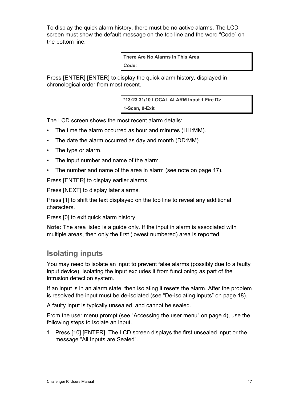To display the quick alarm history, there must be no active alarms. The LCD screen must show the default message on the top line and the word "Code" on the bottom line.

> **There Are No Alarms In This Area Code:**

Press [ENTER] [ENTER] to display the quick alarm history, displayed in chronological order from most recent.

> **\*13:23 31/10 LOCAL ALARM Input 1 Fire D> 1-Scan, 0-Exit**

The LCD screen shows the most recent alarm details:

- The time the alarm occurred as hour and minutes (HH:MM).
- The date the alarm occurred as day and month (DD:MM).
- The type or alarm.
- The input number and name of the alarm.
- The number and name of the area in alarm (see note on page 17).

Press [ENTER] to display earlier alarms.

Press [NEXT] to display later alarms.

Press [1] to shift the text displayed on the top line to reveal any additional characters.

Press [0] to exit quick alarm history.

**Note:** The area listed is a guide only. If the input in alarm is associated with multiple areas, then only the first (lowest numbered) area is reported.

## **Isolating inputs**

You may need to isolate an input to prevent false alarms (possibly due to a faulty input device). Isolating the input excludes it from functioning as part of the intrusion detection system.

If an input is in an alarm state, then isolating it resets the alarm. After the problem is resolved the input must be de-isolated (see "De-isolating inputs" on page 18).

A faulty input is typically unsealed, and cannot be sealed.

From the user menu prompt (see "Accessing the user menu" on page 4), use the following steps to isolate an input.

1. Press [10] [ENTER]. The LCD screen displays the first unsealed input or the message "All Inputs are Sealed".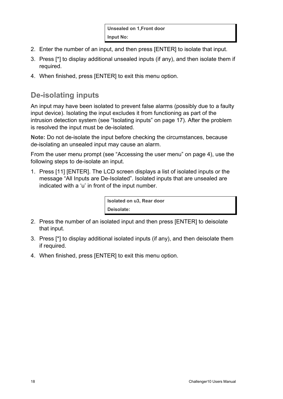- 2. Enter the number of an input, and then press [ENTER] to isolate that input.
- 3. Press [\*] to display additional unsealed inputs (if any), and then isolate them if required.
- 4. When finished, press [ENTER] to exit this menu option.

# **De-isolating inputs**

An input may have been isolated to prevent false alarms (possibly due to a faulty input device). Isolating the input excludes it from functioning as part of the intrusion detection system (see "Isolating inputs" on page 17). After the problem is resolved the input must be de-isolated.

**Note:** Do not de-isolate the input before checking the circumstances, because de-isolating an unsealed input may cause an alarm.

From the user menu prompt (see "Accessing the user menu" on page 4), use the following steps to de-isolate an input.

1. Press [11] [ENTER]. The LCD screen displays a list of isolated inputs or the message "All Inputs are De-Isolated". Isolated inputs that are unsealed are indicated with a 'u' in front of the input number.

> **Isolated on u3, Rear door Deisolate:**

- 2. Press the number of an isolated input and then press [ENTER] to deisolate that input.
- 3. Press [\*] to display additional isolated inputs (if any), and then deisolate them if required.
- 4. When finished, press [ENTER] to exit this menu option.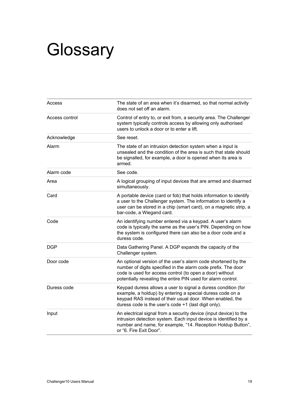# **Glossary**

| The state of an area when it's disarmed, so that normal activity<br>does not set off an alarm.                                                                                                                                                             |
|------------------------------------------------------------------------------------------------------------------------------------------------------------------------------------------------------------------------------------------------------------|
| Control of entry to, or exit from, a security area. The Challenger<br>system typically controls access by allowing only authorised<br>users to unlock a door or to enter a lift.                                                                           |
| See reset.                                                                                                                                                                                                                                                 |
| The state of an intrusion detection system when a input is<br>unsealed and the condition of the area is such that state should<br>be signalled, for example, a door is opened when its area is<br>armed.                                                   |
| See code.                                                                                                                                                                                                                                                  |
| A logical grouping of input devices that are armed and disarmed<br>simultaneously.                                                                                                                                                                         |
| A portable device (card or fob) that holds information to identify<br>a user to the Challenger system. The information to identify a<br>user can be stored in a chip (smart card), on a magnetic strip, a<br>bar-code, a Wiegand card.                     |
| An identifying number entered via a keypad. A user's alarm<br>code is typically the same as the user's PIN. Depending on how<br>the system is configured there can also be a door code and a<br>duress code.                                               |
| Data Gathering Panel. A DGP expands the capacity of the<br>Challenger system.                                                                                                                                                                              |
| An optional version of the user's alarm code shortened by the<br>number of digits specified in the alarm code prefix. The door<br>code is used for access control (to open a door) without<br>potentially revealing the entire PIN used for alarm control. |
| Keypad duress allows a user to signal a duress condition (for<br>example, a holdup) by entering a special duress code on a<br>keypad RAS instead of their usual door. When enabled, the<br>duress code is the user's code +1 (last digit only).            |
| An electrical signal from a security device (input device) to the<br>intrusion detection system. Each input device is identified by a<br>number and name, for example, "14. Reception Holdup Button",<br>or "6. Fire Exit Door".                           |
|                                                                                                                                                                                                                                                            |